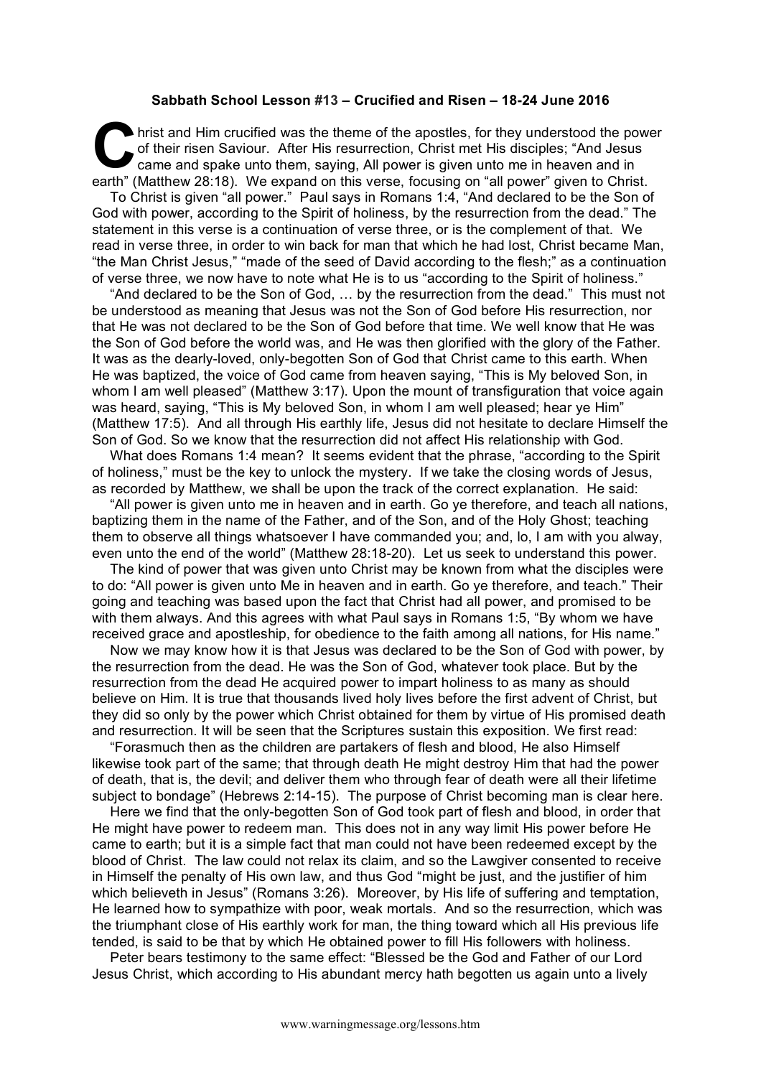## **Sabbath School Lesson #13 – Crucified and Risen – 18-24 June 2016**

hrist and Him crucified was the theme of the apostles, for they understood the power of their risen Saviour. After His resurrection, Christ met His disciples; "And Jesus came and spake unto them, saying, All power is given unto me in heaven and in earth" (Matthew 28:18). We expand on this verse, focusing on "all power" given to Christ. **C** bris

To Christ is given "all power." Paul says in Romans 1:4, "And declared to be the Son of God with power, according to the Spirit of holiness, by the resurrection from the dead." The statement in this verse is a continuation of verse three, or is the complement of that. We read in verse three, in order to win back for man that which he had lost, Christ became Man, "the Man Christ Jesus," "made of the seed of David according to the flesh;" as a continuation of verse three, we now have to note what He is to us "according to the Spirit of holiness."

"And declared to be the Son of God, … by the resurrection from the dead." This must not be understood as meaning that Jesus was not the Son of God before His resurrection, nor that He was not declared to be the Son of God before that time. We well know that He was the Son of God before the world was, and He was then glorified with the glory of the Father. It was as the dearly-loved, only-begotten Son of God that Christ came to this earth. When He was baptized, the voice of God came from heaven saying, "This is My beloved Son, in whom I am well pleased" (Matthew 3:17). Upon the mount of transfiguration that voice again was heard, saying, "This is My beloved Son, in whom I am well pleased; hear ye Him" (Matthew 17:5). And all through His earthly life, Jesus did not hesitate to declare Himself the Son of God. So we know that the resurrection did not affect His relationship with God.

What does Romans 1:4 mean? It seems evident that the phrase, "according to the Spirit of holiness," must be the key to unlock the mystery. If we take the closing words of Jesus, as recorded by Matthew, we shall be upon the track of the correct explanation. He said:

"All power is given unto me in heaven and in earth. Go ye therefore, and teach all nations, baptizing them in the name of the Father, and of the Son, and of the Holy Ghost; teaching them to observe all things whatsoever I have commanded you; and, lo, I am with you alway, even unto the end of the world" (Matthew 28:18-20). Let us seek to understand this power.

The kind of power that was given unto Christ may be known from what the disciples were to do: "All power is given unto Me in heaven and in earth. Go ye therefore, and teach." Their going and teaching was based upon the fact that Christ had all power, and promised to be with them always. And this agrees with what Paul says in Romans 1:5, "By whom we have received grace and apostleship, for obedience to the faith among all nations, for His name."

Now we may know how it is that Jesus was declared to be the Son of God with power, by the resurrection from the dead. He was the Son of God, whatever took place. But by the resurrection from the dead He acquired power to impart holiness to as many as should believe on Him. It is true that thousands lived holy lives before the first advent of Christ, but they did so only by the power which Christ obtained for them by virtue of His promised death and resurrection. It will be seen that the Scriptures sustain this exposition. We first read:

"Forasmuch then as the children are partakers of flesh and blood, He also Himself likewise took part of the same; that through death He might destroy Him that had the power of death, that is, the devil; and deliver them who through fear of death were all their lifetime subject to bondage" (Hebrews 2:14-15). The purpose of Christ becoming man is clear here.

Here we find that the only-begotten Son of God took part of flesh and blood, in order that He might have power to redeem man. This does not in any way limit His power before He came to earth; but it is a simple fact that man could not have been redeemed except by the blood of Christ. The law could not relax its claim, and so the Lawgiver consented to receive in Himself the penalty of His own law, and thus God "might be just, and the justifier of him which believeth in Jesus" (Romans 3:26). Moreover, by His life of suffering and temptation, He learned how to sympathize with poor, weak mortals. And so the resurrection, which was the triumphant close of His earthly work for man, the thing toward which all His previous life tended, is said to be that by which He obtained power to fill His followers with holiness.

Peter bears testimony to the same effect: "Blessed be the God and Father of our Lord Jesus Christ, which according to His abundant mercy hath begotten us again unto a lively